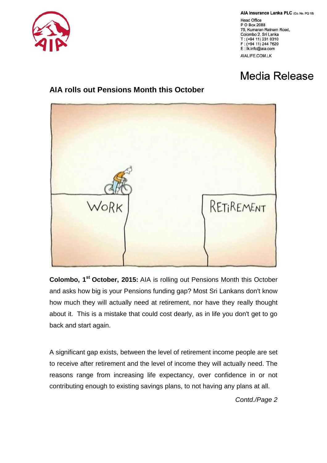

AIA Insurance Lanka PLC (Co. No. PQ 18)

**Head Office** P O Box 2088 75, Kumaran Ratnam Road, Colombo 2, Sri Lanka  $T: (+94 11) 231 0310$ F: (+94 11) 244 7620 E: lk.info@aia.com AIALIFE.COM.LK

## Media Release

## **AIA rolls out Pensions Month this October**



**Colombo, 1st October, 2015:** AIA is rolling out Pensions Month this October and asks how big is your Pensions funding gap? Most Sri Lankans don't know how much they will actually need at retirement, nor have they really thought about it. This is a mistake that could cost dearly, as in life you don't get to go back and start again.

A significant gap exists, between the level of retirement income people are set to receive after retirement and the level of income they will actually need. The reasons range from increasing life expectancy, over confidence in or not contributing enough to existing savings plans, to not having any plans at all.

*Contd./Page 2*